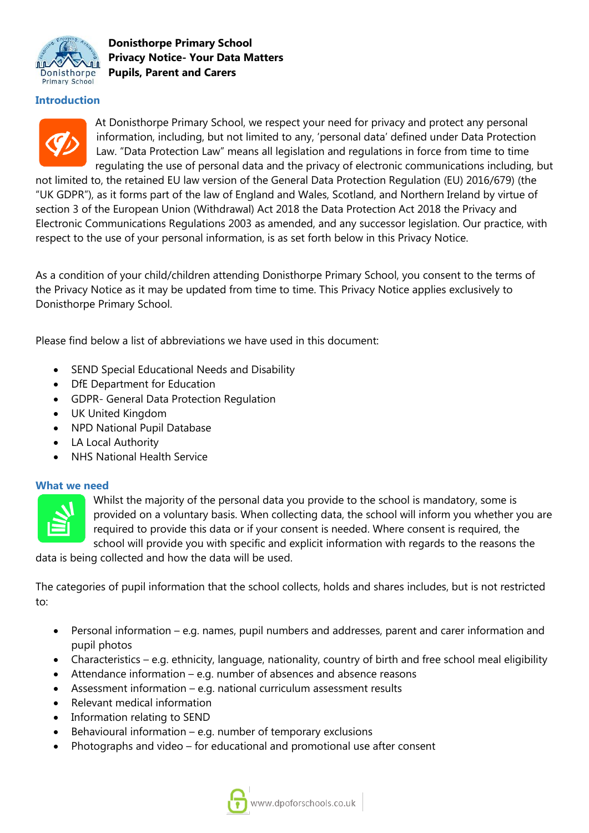

## **Introduction**



At Donisthorpe Primary School, we respect your need for privacy and protect any personal information, including, but not limited to any, 'personal data' defined under Data Protection Law. "Data Protection Law" means all legislation and regulations in force from time to time regulating the use of personal data and the privacy of electronic communications including, but

not limited to, the retained EU law version of the General Data Protection Regulation (EU) 2016/679) (the "UK GDPR"), as it forms part of the law of England and Wales, Scotland, and Northern Ireland by virtue of section 3 of the European Union (Withdrawal) Act 2018 the Data Protection Act 2018 the Privacy and Electronic Communications Regulations 2003 as amended, and any successor legislation. Our practice, with respect to the use of your personal information, is as set forth below in this Privacy Notice.

As a condition of your child/children attending Donisthorpe Primary School, you consent to the terms of the Privacy Notice as it may be updated from time to time. This Privacy Notice applies exclusively to Donisthorpe Primary School.

Please find below a list of abbreviations we have used in this document:

- SEND Special Educational Needs and Disability
- DfE Department for Education
- GDPR- General Data Protection Regulation
- UK United Kingdom
- NPD National Pupil Database
- LA Local Authority
- NHS National Health Service

### **What we need**



Whilst the majority of the personal data you provide to the school is mandatory, some is provided on a voluntary basis. When collecting data, the school will inform you whether you are required to provide this data or if your consent is needed. Where consent is required, the school will provide you with specific and explicit information with regards to the reasons the

data is being collected and how the data will be used.

The categories of pupil information that the school collects, holds and shares includes, but is not restricted to:

- Personal information e.g. names, pupil numbers and addresses, parent and carer information and pupil photos
- Characteristics e.g. ethnicity, language, nationality, country of birth and free school meal eligibility
- Attendance information e.g. number of absences and absence reasons
- Assessment information e.g. national curriculum assessment results
- Relevant medical information
- Information relating to SEND
- $\bullet$  Behavioural information e.g. number of temporary exclusions
- Photographs and video for educational and promotional use after consent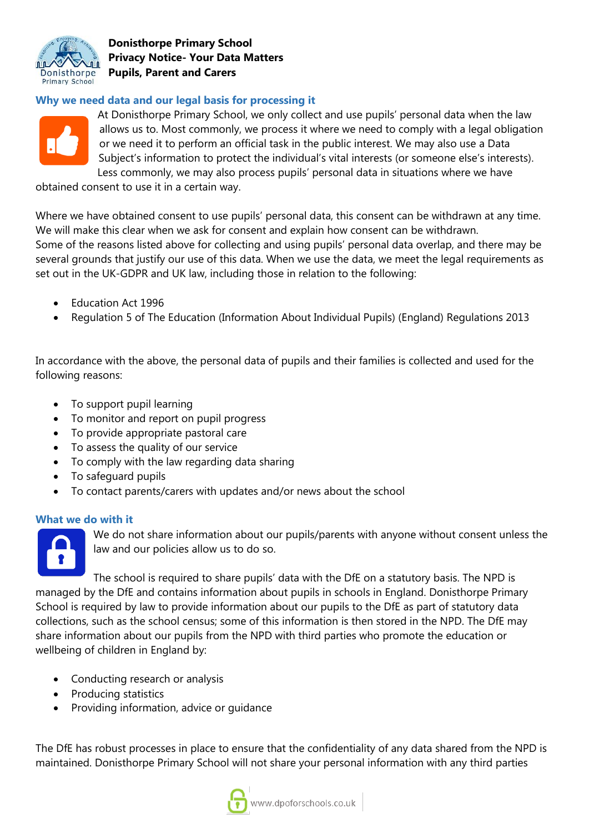

# **Why we need data and our legal basis for processing it**



At Donisthorpe Primary School, we only collect and use pupils' personal data when the law allows us to. Most commonly, we process it where we need to comply with a legal obligation or we need it to perform an official task in the public interest. We may also use a Data Subject's information to protect the individual's vital interests (or someone else's interests). Less commonly, we may also process pupils' personal data in situations where we have

obtained consent to use it in a certain way.

Where we have obtained consent to use pupils' personal data, this consent can be withdrawn at any time. We will make this clear when we ask for consent and explain how consent can be withdrawn. Some of the reasons listed above for collecting and using pupils' personal data overlap, and there may be several grounds that justify our use of this data. When we use the data, we meet the legal requirements as set out in the UK-GDPR and UK law, including those in relation to the following:

- Education Act 1996
- Regulation 5 of The Education (Information About Individual Pupils) (England) Regulations 2013

In accordance with the above, the personal data of pupils and their families is collected and used for the following reasons:

- To support pupil learning
- To monitor and report on pupil progress
- To provide appropriate pastoral care
- To assess the quality of our service
- To comply with the law regarding data sharing
- To safeguard pupils
- To contact parents/carers with updates and/or news about the school

#### **What we do with it**



We do not share information about our pupils/parents with anyone without consent unless the law and our policies allow us to do so.

The school is required to share pupils' data with the DfE on a statutory basis. The NPD is managed by the DfE and contains information about pupils in schools in England. Donisthorpe Primary School is required by law to provide information about our pupils to the DfE as part of statutory data collections, such as the school census; some of this information is then stored in the NPD. The DfE may share information about our pupils from the NPD with third parties who promote the education or wellbeing of children in England by:

- Conducting research or analysis
- Producing statistics
- Providing information, advice or guidance

The DfE has robust processes in place to ensure that the confidentiality of any data shared from the NPD is maintained. Donisthorpe Primary School will not share your personal information with any third parties

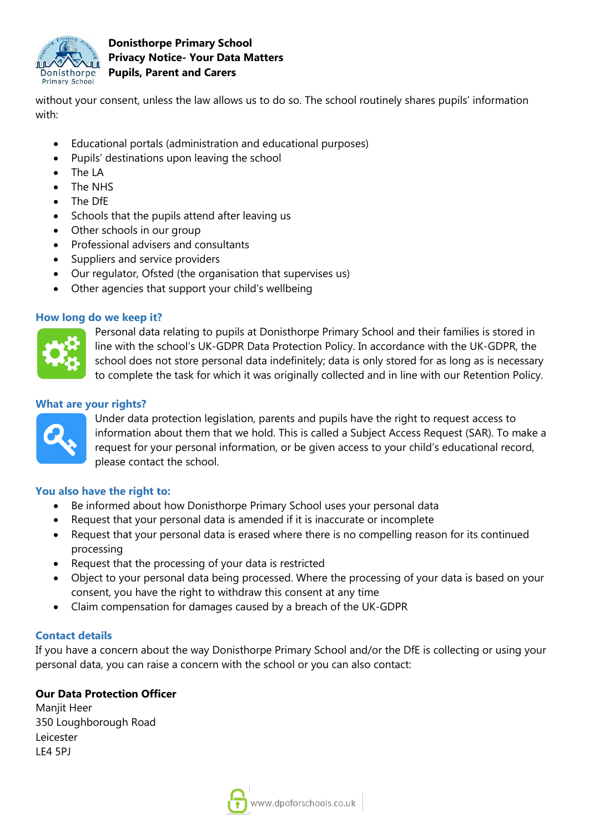

without your consent, unless the law allows us to do so. The school routinely shares pupils' information with:

- Educational portals (administration and educational purposes)
- Pupils' destinations upon leaving the school
- The LA
- The NHS
- The DfE
- Schools that the pupils attend after leaving us
- Other schools in our group
- Professional advisers and consultants
- Suppliers and service providers
- Our regulator, Ofsted (the organisation that supervises us)
- Other agencies that support your child's wellbeing

#### **How long do we keep it?**



Personal data relating to pupils at Donisthorpe Primary School and their families is stored in line with the school's UK-GDPR Data Protection Policy. In accordance with the UK-GDPR, the school does not store personal data indefinitely; data is only stored for as long as is necessary to complete the task for which it was originally collected and in line with our Retention Policy.

#### **What are your rights?**



Under data protection legislation, parents and pupils have the right to request access to information about them that we hold. This is called a Subject Access Request (SAR). To make a request for your personal information, or be given access to your child's educational record, please contact the school.

### **You also have the right to:**

- Be informed about how Donisthorpe Primary School uses your personal data
- Request that your personal data is amended if it is inaccurate or incomplete
- Request that your personal data is erased where there is no compelling reason for its continued processing
- Request that the processing of your data is restricted
- Object to your personal data being processed. Where the processing of your data is based on your consent, you have the right to withdraw this consent at any time
- Claim compensation for damages caused by a breach of the UK-GDPR

### **Contact details**

If you have a concern about the way Donisthorpe Primary School and/or the DfE is collecting or using your personal data, you can raise a concern with the school or you can also contact:

## **Our Data Protection Officer**

Manjit Heer 350 Loughborough Road Leicester LE4 5PJ